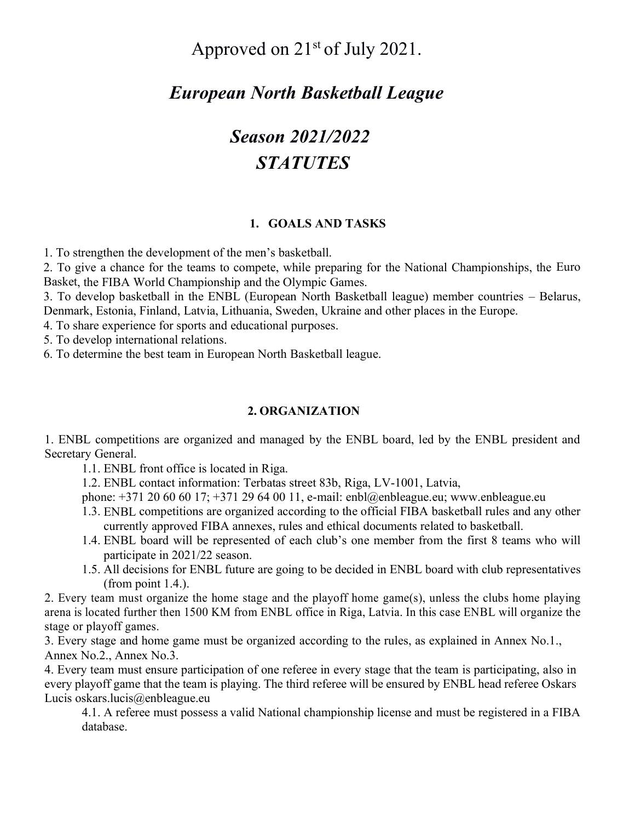# Approved on  $21<sup>st</sup>$  of July 2021.

# *European North Basketball League*

# *Season 2021/2022 STATUTES*

## **1. GOALS AND TASKS**

1. To strengthen the development of the men's basketball.

2. To give a chance for the teams to compete, while preparing for the National Championships, the Euro Basket, the FIBA World Championship and the Olympic Games.

3. To develop basketball in the ENBL (European North Basketball league) member countries – Belarus, Denmark, Estonia, Finland, Latvia, Lithuania, Sweden, Ukraine and other places in the Europe.

4. To share experience for sports and educational purposes.

5. To develop international relations.

6. To determine the best team in European North Basketball league.

#### **2. ORGANIZATION**

1. ENBL competitions are organized and managed by the ENBL board, led by the ENBL president and Secretary General.

1.1. ENBL front office is located in Riga.

1.2. ENBL contact information: Terbatas street 83b, Riga, LV-1001, Latvia,

phone: +371 20 60 60 17; +371 29 64 00 11, e-mail: enbl@enbleague.eu; www.enbleague.eu

- 1.3. ENBL competitions are organized according to the official FIBA basketball rules and any other currently approved FIBA annexes, rules and ethical documents related to basketball.
- 1.4. ENBL board will be represented of each club's one member from the first 8 teams who will participate in 2021/22 season.
- 1.5. All decisions for ENBL future are going to be decided in ENBL board with club representatives (from point 1.4.).

2. Every team must organize the home stage and the playoff home game(s), unless the clubs home playing arena is located further then 1500 KM from ENBL office in Riga, Latvia. In this case ENBL will organize the stage or playoff games.

3. Every stage and home game must be organized according to the rules, as explained in Annex No.1., Annex No.2., Annex No.3.

4. Every team must ensure participation of one referee in every stage that the team is participating, also in every playoff game that the team is playing. The third referee will be ensured by ENBL head referee Oskars Lucis oskars.lucis@enbleague.eu

4.1. A referee must possess a valid National championship license and must be registered in a FIBA database.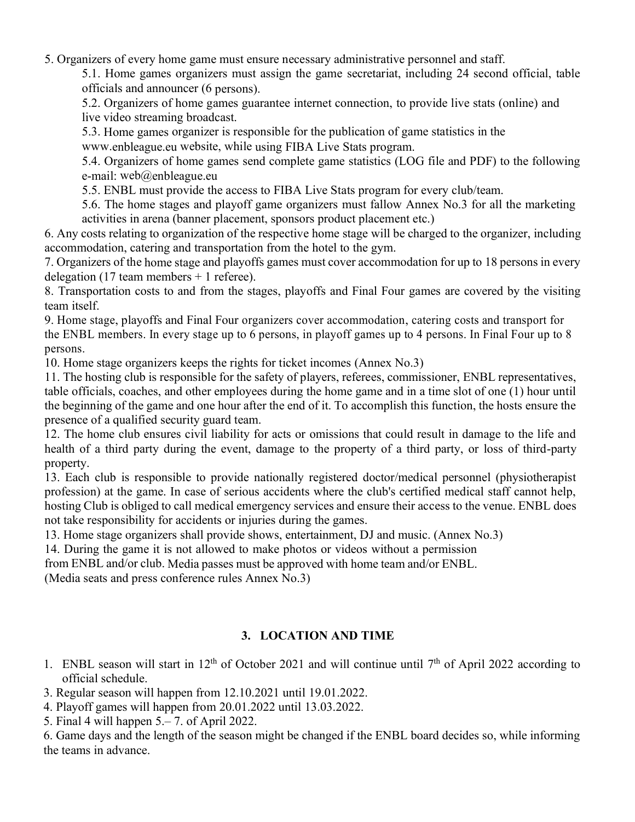5. Organizers of every home game must ensure necessary administrative personnel and staff.

5.1. Home games organizers must assign the game secretariat, including 24 second official, table officials and announcer (6 persons).

5.2. Organizers of home games guarantee internet connection, to provide live stats (online) and live video streaming broadcast.

5.3. Home games organizer is responsible for the publication of game statistics in the

www.enbleague.eu website, while using FIBA Live Stats program.

5.4. Organizers of home games send complete game statistics (LOG file and PDF) to the following e-mail: web@enbleague.eu

5.5. ENBL must provide the access to FIBA Live Stats program for every club/team.

5.6. The home stages and playoff game organizers must fallow Annex No.3 for all the marketing activities in arena (banner placement, sponsors product placement etc.)

6. Any costs relating to organization of the respective home stage will be charged to the organizer, including accommodation, catering and transportation from the hotel to the gym.

7. Organizers of the home stage and playoffs games must cover accommodation for up to 18 persons in every delegation (17 team members  $+$  1 referee).

8. Transportation costs to and from the stages, playoffs and Final Four games are covered by the visiting team itself.

9. Home stage, playoffs and Final Four organizers cover accommodation, catering costs and transport for the ENBL members. In every stage up to 6 persons, in playoff games up to 4 persons. In Final Four up to 8 persons.

10. Home stage organizers keeps the rights for ticket incomes (Annex No.3)

11. The hosting club is responsible for the safety of players, referees, commissioner, ENBL representatives, table officials, coaches, and other employees during the home game and in a time slot of one (1) hour until the beginning of the game and one hour after the end of it. To accomplish this function, the hosts ensure the presence of a qualified security guard team.

12. The home club ensures civil liability for acts or omissions that could result in damage to the life and health of a third party during the event, damage to the property of a third party, or loss of third-party property.

13. Each club is responsible to provide nationally registered doctor/medical personnel (physiotherapist profession) at the game. In case of serious accidents where the club's certified medical staff cannot help, hosting Club is obliged to call medical emergency services and ensure their access to the venue. ENBL does not take responsibility for accidents or injuries during the games.

13. Home stage organizers shall provide shows, entertainment, DJ and music. (Annex No.3)

14. During the game it is not allowed to make photos or videos without a permission

from ENBL and/or club. Media passes must be approved with home team and/or ENBL. (Media seats and press conference rules Annex No.3)

# **3. LOCATION AND TIME**

- 1. ENBL season will start in  $12<sup>th</sup>$  of October 2021 and will continue until 7<sup>th</sup> of April 2022 according to official schedule.
- 3. Regular season will happen from 12.10.2021 until 19.01.2022.
- 4. Playoff games will happen from 20.01.2022 until 13.03.2022.
- 5. Final 4 will happen 5.– 7. of April 2022.

6. Game days and the length of the season might be changed if the ENBL board decides so, while informing the teams in advance.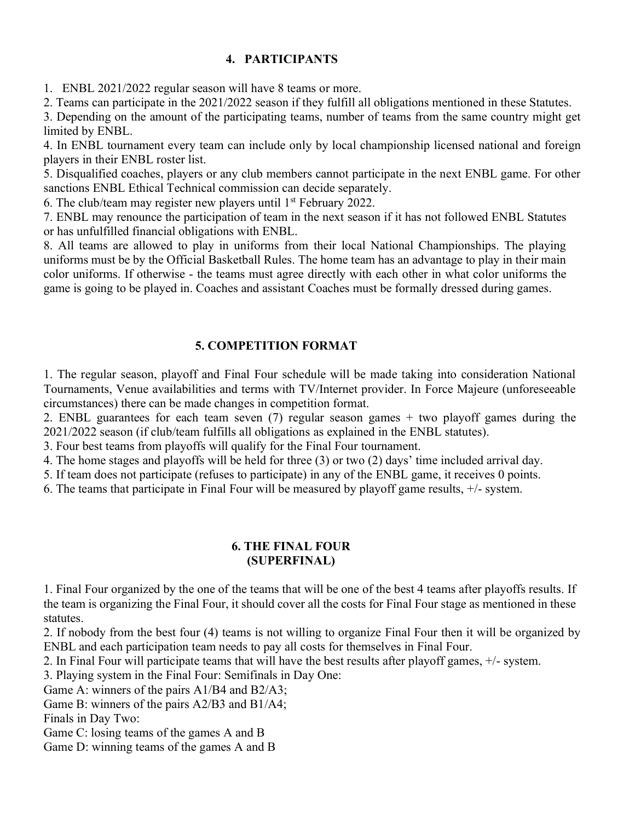# **4. PARTICIPANTS**

1. ENBL 2021/2022 regular season will have 8 teams or more.

2. Teams can participate in the 2021/2022 season if they fulfill all obligations mentioned in these Statutes.

3. Depending on the amount of the participating teams, number of teams from the same country might get limited by ENBL.

4. In ENBL tournament every team can include only by local championship licensed national and foreign players in their ENBL roster list.

5. Disqualified coaches, players or any club members cannot participate in the next ENBL game. For other sanctions ENBL Ethical Technical commission can decide separately.

6. The club/team may register new players until  $1<sup>st</sup>$  February 2022.

7. ENBL may renounce the participation of team in the next season if it has not followed ENBL Statutes or has unfulfilled financial obligations with ENBL.

8. All teams are allowed to play in uniforms from their local National Championships. The playing uniforms must be by the Official Basketball Rules. The home team has an advantage to play in their main color uniforms. If otherwise - the teams must agree directly with each other in what color uniforms the game is going to be played in. Coaches and assistant Coaches must be formally dressed during games.

# **5. COMPETITION FORMAT**

1. The regular season, playoff and Final Four schedule will be made taking into consideration National Tournaments, Venue availabilities and terms with TV/Internet provider. In Force Majeure (unforeseeable circumstances) there can be made changes in competition format.

2. ENBL guarantees for each team seven (7) regular season games + two playoff games during the 2021/2022 season (if club/team fulfills all obligations as explained in the ENBL statutes).

3. Four best teams from playoffs will qualify for the Final Four tournament.

4. The home stages and playoffs will be held for three (3) or two (2) days' time included arrival day.

5. If team does not participate (refuses to participate) in any of the ENBL game, it receives 0 points.

6. The teams that participate in Final Four will be measured by playoff game results, +/- system.

#### **6. THE FINAL FOUR (SUPERFINAL)**

1. Final Four organized by the one of the teams that will be one of the best 4 teams after playoffs results. If the team is organizing the Final Four, it should cover all the costs for Final Four stage as mentioned in these statutes.

2. If nobody from the best four (4) teams is not willing to organize Final Four then it will be organized by ENBL and each participation team needs to pay all costs for themselves in Final Four.

2. In Final Four will participate teams that will have the best results after playoff games, +/- system.

3. Playing system in the Final Four: Semifinals in Day One:

Game A: winners of the pairs A1/B4 and B2/A3;

Game B: winners of the pairs A2/B3 and B1/A4;

Finals in Day Two:

Game C: losing teams of the games A and B

Game D: winning teams of the games A and B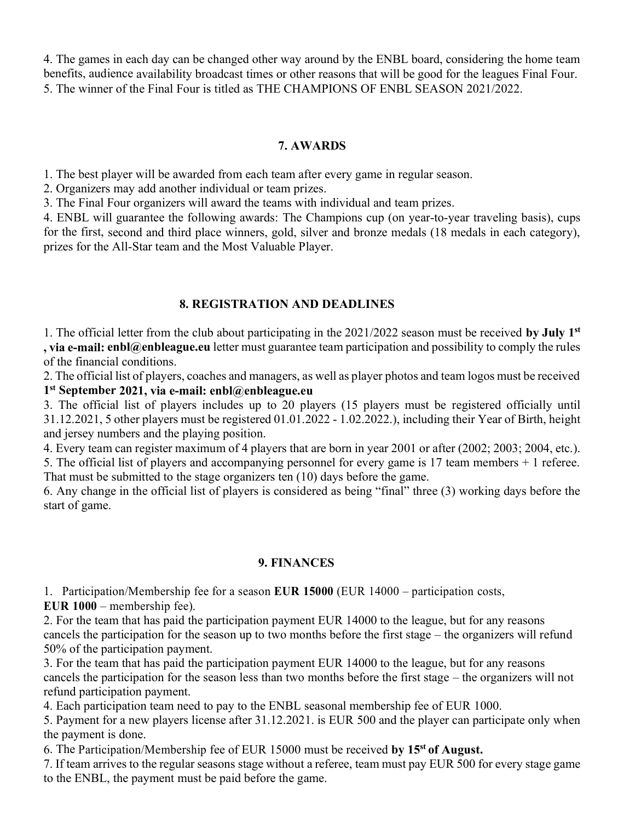4. The games in each day can be changed other way around by the ENBL board, considering the home team benefits, audience availability broadcast times or other reasons that will be good for the leagues Final Four. 5. The winner of the Final Four is titled as THE CHAMPIONS OF ENBL SEASON 2021/2022.

## **7. AWARDS**

1. The best player will be awarded from each team after every game in regular season.

2. Organizers may add another individual or team prizes.

3. The Final Four organizers will award the teams with individual and team prizes.

4. ENBL will guarantee the following awards: The Champions cup (on year-to-year traveling basis), cups for the first, second and third place winners, gold, silver and bronze medals (18 medals in each category), prizes for the All-Star team and the Most Valuable Player.

## **8. REGISTRATION AND DEADLINES**

1. The official letter from the club about participating in the 2021/2022 season must be received **by July 1 st , via e-mail: enbl@enbleague.eu** letter must guarantee team participation and possibility to comply the rules of the financial conditions.

2. The official list of players, coaches and managers, as well as player photos and team logos must be received **1 st September 2021, via e-mail: enbl@enbleague.eu**

3. The official list of players includes up to 20 players (15 players must be registered officially until 31.12.2021, 5 other players must be registered 01.01.2022 - 1.02.2022.), including their Year of Birth, height and jersey numbers and the playing position.

4. Every team can register maximum of 4 players that are born in year 2001 or after (2002; 2003; 2004, etc.).

5. The official list of players and accompanying personnel for every game is 17 team members + 1 referee. That must be submitted to the stage organizers ten (10) days before the game.

6. Any change in the official list of players is considered as being "final" three (3) working days before the start of game.

# **9. FINANCES**

1. Participation/Membership fee for a season **EUR 15000** (EUR 14000 – participation costs,

**EUR 1000** – membership fee).

2. For the team that has paid the participation payment EUR 14000 to the league, but for any reasons cancels the participation for the season up to two months before the first stage – the organizers will refund 50% of the participation payment.

3. For the team that has paid the participation payment EUR 14000 to the league, but for any reasons cancels the participation for the season less than two months before the first stage – the organizers will not refund participation payment.

4. Each participation team need to pay to the ENBL seasonal membership fee of EUR 1000.

5. Payment for a new players license after 31.12.2021. is EUR 500 and the player can participate only when the payment is done.

6. The Participation/Membership fee of EUR 15000 must be received **by 15 st of August.**

7. If team arrives to the regular seasons stage without a referee, team must pay EUR 500 for every stage game to the ENBL, the payment must be paid before the game.